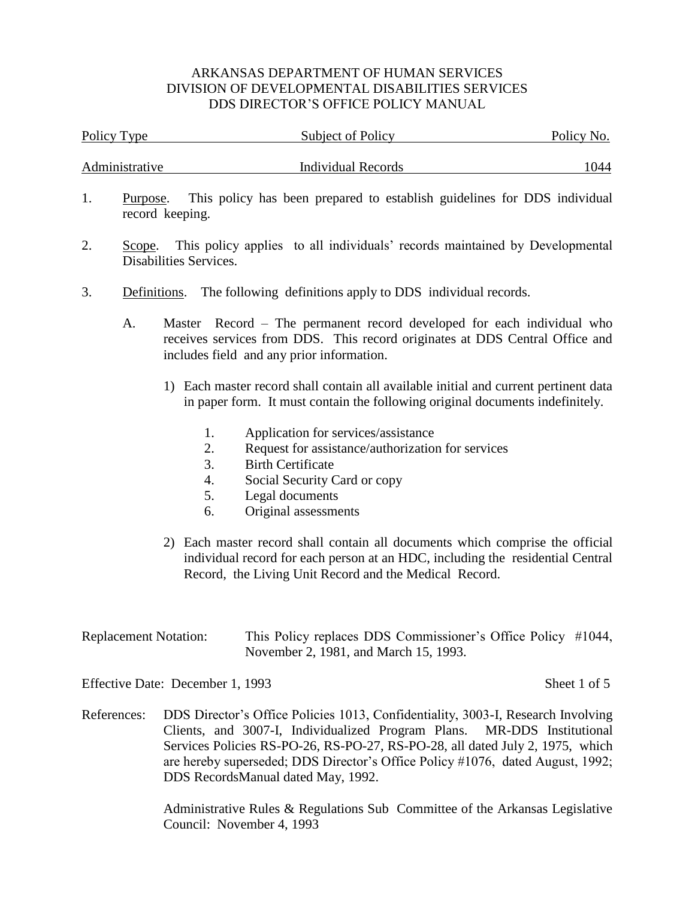| Policy Type    | <b>Subject of Policy</b> | Policy No. |  |  |
|----------------|--------------------------|------------|--|--|
| Administrative | Individual Records       | 1044       |  |  |

- 1. Purpose. This policy has been prepared to establish guidelines for DDS individual record keeping.
- 2. Scope. This policy applies to all individuals' records maintained by Developmental Disabilities Services.
- 3. Definitions. The following definitions apply to DDS individual records.
	- A. Master Record The permanent record developed for each individual who receives services from DDS. This record originates at DDS Central Office and includes field and any prior information.
		- 1) Each master record shall contain all available initial and current pertinent data in paper form. It must contain the following original documents indefinitely.
			- 1. Application for services/assistance
			- 2. Request for assistance/authorization for services
			- 3. Birth Certificate
			- 4. Social Security Card or copy
			- 5. Legal documents
			- 6. Original assessments
		- 2) Each master record shall contain all documents which comprise the official individual record for each person at an HDC, including the residential Central Record, the Living Unit Record and the Medical Record.

| <b>Replacement Notation:</b> | This Policy replaces DDS Commissioner's Office Policy #1044, |  |
|------------------------------|--------------------------------------------------------------|--|
|                              | November 2, 1981, and March 15, 1993.                        |  |

Effective Date: December 1, 1993 Sheet 1 of 5

References: DDS Director's Office Policies 1013, Confidentiality, 3003-I, Research Involving Clients, and 3007-I, Individualized Program Plans. MR-DDS Institutional Services Policies RS-PO-26, RS-PO-27, RS-PO-28, all dated July 2, 1975, which are hereby superseded; DDS Director's Office Policy #1076, dated August, 1992; DDS RecordsManual dated May, 1992.

> Administrative Rules & Regulations Sub Committee of the Arkansas Legislative Council: November 4, 1993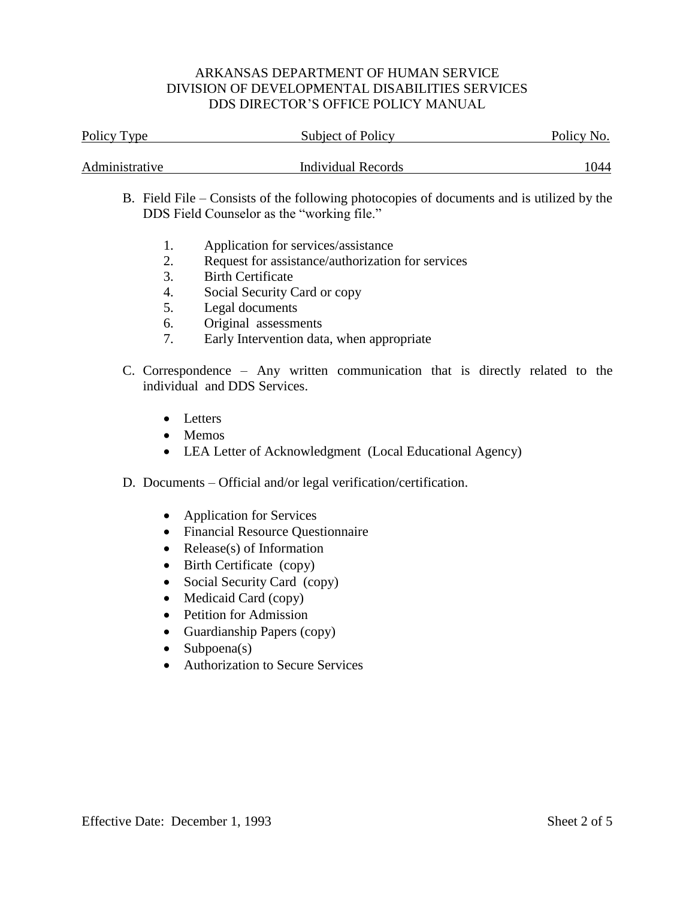| Policy Type    | Subject of Policy         | Policy No. |  |  |
|----------------|---------------------------|------------|--|--|
|                |                           |            |  |  |
| Administrative | <b>Individual Records</b> | 1044       |  |  |

- B. Field File Consists of the following photocopies of documents and is utilized by the DDS Field Counselor as the "working file."
	- 1. Application for services/assistance
	- 2. Request for assistance/authorization for services
	- 3. Birth Certificate
	- 4. Social Security Card or copy
	- 5. Legal documents
	- 6. Original assessments
	- 7. Early Intervention data, when appropriate
- C. Correspondence Any written communication that is directly related to the individual and DDS Services.
	- Letters
	- Memos
	- LEA Letter of Acknowledgment (Local Educational Agency)
- D. Documents Official and/or legal verification/certification.
	- Application for Services
	- Financial Resource Questionnaire
	- Release(s) of Information
	- Birth Certificate (copy)
	- Social Security Card (copy)
	- Medicaid Card (copy)
	- Petition for Admission
	- Guardianship Papers (copy)
	- $\bullet$  Subpoena(s)
	- Authorization to Secure Services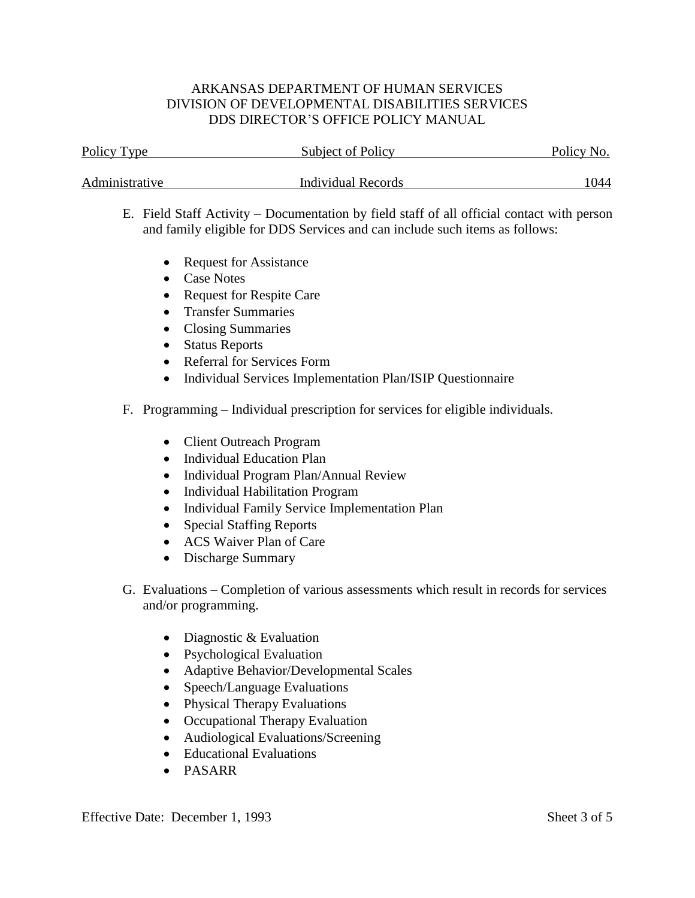| Policy Type    | Subject of Policy  | Policy No. |  |  |
|----------------|--------------------|------------|--|--|
| Administrative | Individual Records | 1044       |  |  |

- E. Field Staff Activity Documentation by field staff of all official contact with person and family eligible for DDS Services and can include such items as follows:
	- Request for Assistance
	- Case Notes
	- Request for Respite Care
	- Transfer Summaries
	- Closing Summaries
	- Status Reports
	- Referral for Services Form
	- Individual Services Implementation Plan/ISIP Questionnaire
- F. Programming Individual prescription for services for eligible individuals.
	- Client Outreach Program
	- Individual Education Plan
	- Individual Program Plan/Annual Review
	- Individual Habilitation Program
	- Individual Family Service Implementation Plan
	- Special Staffing Reports
	- ACS Waiver Plan of Care
	- Discharge Summary
- G. Evaluations Completion of various assessments which result in records for services and/or programming.
	- Diagnostic & Evaluation
	- Psychological Evaluation
	- Adaptive Behavior/Developmental Scales
	- Speech/Language Evaluations
	- Physical Therapy Evaluations
	- Occupational Therapy Evaluation
	- Audiological Evaluations/Screening
	- Educational Evaluations
	- PASARR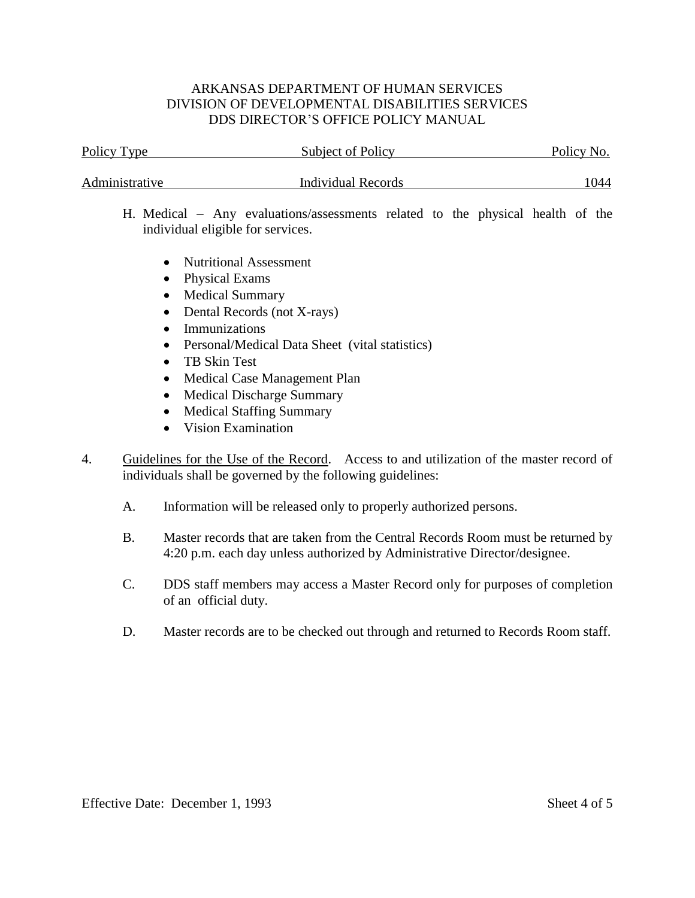| Policy Type<br>Subject of Policy  |                                                                                |  | Policy No. |  |  |      |
|-----------------------------------|--------------------------------------------------------------------------------|--|------------|--|--|------|
| Administrative                    | Individual Records                                                             |  |            |  |  | 1044 |
| individual eligible for services. | H. Medical – Any evaluations/assessments related to the physical health of the |  |            |  |  |      |
|                                   | • Nutritional Assessment                                                       |  |            |  |  |      |

- Physical Exams
- Medical Summary
- Dental Records (not X-rays)
- Immunizations
- Personal/Medical Data Sheet (vital statistics)
- TB Skin Test
- Medical Case Management Plan
- Medical Discharge Summary
- Medical Staffing Summary
- Vision Examination
- 4. Guidelines for the Use of the Record. Access to and utilization of the master record of individuals shall be governed by the following guidelines:
	- A. Information will be released only to properly authorized persons.
	- B. Master records that are taken from the Central Records Room must be returned by 4:20 p.m. each day unless authorized by Administrative Director/designee.
	- C. DDS staff members may access a Master Record only for purposes of completion of an official duty.
	- D. Master records are to be checked out through and returned to Records Room staff.